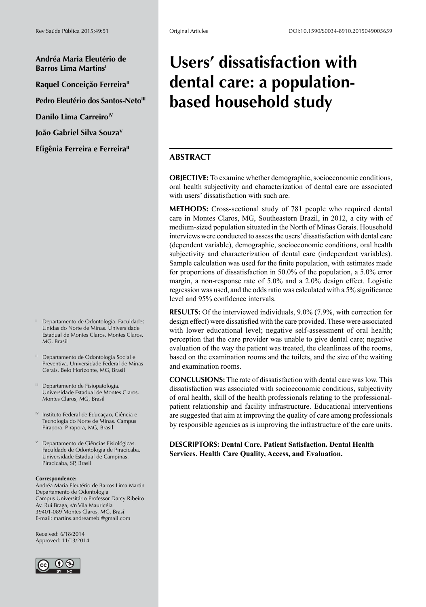**Andréa Maria Eleutério de Barros Lima MartinsI**

**Raquel Conceição Ferreira<sup>11</sup>** 

Pedro Eleutério dos Santos-Neto<sup>III</sup>

Danilo Lima Carreiro<sup>IV</sup>

**João Gabriel Silva SouzaV**

**Efigênia Ferreira e Ferreira<sup>II</sup>** 

- <sup>I</sup> Departamento de Odontologia. Faculdades Unidas do Norte de Minas. Universidade Estadual de Montes Claros. Montes Claros, MG, Brasil
- Departamento de Odontologia Social e Preventiva. Universidade Federal de Minas Gerais. Belo Horizonte, MG, Brasil
- <sup>III</sup> Departamento de Fisiopatologia. Universidade Estadual de Montes Claros. Montes Claros, MG, Brasil
- IV Instituto Federal de Educação, Ciência e Tecnologia do Norte de Minas. Campus Pirapora. Pirapora, MG, Brasil
- <sup>V</sup> Departamento de Ciências Fisiológicas. Faculdade de Odontologia de Piracicaba. Universidade Estadual de Campinas. Piracicaba, SP, Brasil

#### **Correspondence:**

Andréa Maria Eleutério de Barros Lima Martin Departamento de Odontologia Campus Universitário Professor Darcy Ribeiro Av. Rui Braga, s/n Vila Mauricéia 39401-089 Montes Claros, MG, Brasil E-mail: martins.andreamebl@gmail.com

Received: 6/18/2014 Approved: 11/13/2014



# **Users' dissatisfaction with dental care: a populationbased household study**

# **ABSTRACT**

**OBJECTIVE:** To examine whether demographic, socioeconomic conditions, oral health subjectivity and characterization of dental care are associated with users' dissatisfaction with such are.

**METHODS:** Cross-sectional study of 781 people who required dental care in Montes Claros, MG, Southeastern Brazil, in 2012, a city with of medium-sized population situated in the North of Minas Gerais. Household interviews were conducted to assess the users' dissatisfaction with dental care (dependent variable), demographic, socioeconomic conditions, oral health subjectivity and characterization of dental care (independent variables). Sample calculation was used for the finite population, with estimates made for proportions of dissatisfaction in 50.0% of the population, a 5.0% error margin, a non-response rate of 5.0% and a 2.0% design effect. Logistic regression was used, and the odds ratio was calculated with a 5% significance level and 95% confidence intervals.

**RESULTS:** Of the interviewed individuals, 9.0% (7.9%, with correction for design effect) were dissatisfied with the care provided. These were associated with lower educational level; negative self-assessment of oral health; perception that the care provider was unable to give dental care; negative evaluation of the way the patient was treated, the cleanliness of the rooms, based on the examination rooms and the toilets, and the size of the waiting and examination rooms.

**CONCLUSIONS:** The rate of dissatisfaction with dental care was low. This dissatisfaction was associated with socioeconomic conditions, subjectivity of oral health, skill of the health professionals relating to the professionalpatient relationship and facility infrastructure. Educational interventions are suggested that aim at improving the quality of care among professionals by responsible agencies as is improving the infrastructure of the care units.

**DESCRIPTORS: Dental Care. Patient Satisfaction. Dental Health Services. Health Care Quality, Access, and Evaluation.**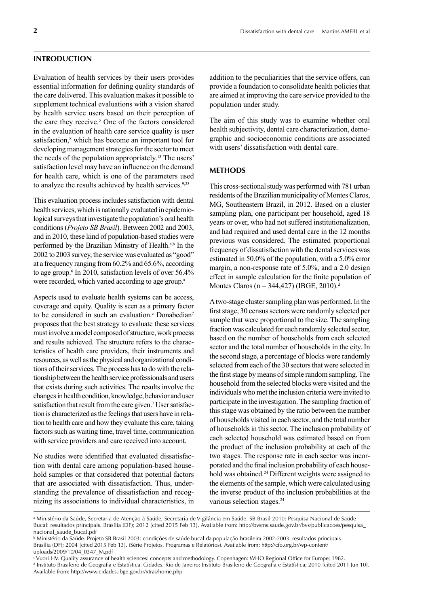#### **INTRODUCTION**

Evaluation of health services by their users provides essential information for defining quality standards of the care delivered. This evaluation makes it possible to supplement technical evaluations with a vision shared by health service users based on their perception of the care they receive.5 One of the factors considered in the evaluation of health care service quality is user satisfaction,<sup>8</sup> which has become an important tool for developing management strategies for the sector to meet the needs of the population appropriately.13 The users' satisfaction level may have an influence on the demand for health care, which is one of the parameters used to analyze the results achieved by health services.<sup>9,23</sup>

This evaluation process includes satisfaction with dental health services, which is nationally evaluated in epidemiological surveys that investigate the population's oral health conditions (*Projeto SB Brasil*). Between 2002 and 2003, and in 2010, these kind of population-based studies were performed by the Brazilian Ministry of Health.<sup>a,b</sup> In the 2002 to 2003 survey, the service was evaluated as "good" at a frequency ranging from 60.2% and 65.6%, according to age group.6 In 2010, satisfaction levels of over 56.4% were recorded, which varied according to age group.<sup>a</sup>

Aspects used to evaluate health systems can be access, coverage and equity. Quality is seen as a primary factor to be considered in such an evaluation. $\epsilon$  Donabedian<sup>7</sup> proposes that the best strategy to evaluate these services must involve a model composed of structure, work process and results achieved. The structure refers to the characteristics of health care providers, their instruments and resources, as well as the physical and organizational conditions of their services. The process has to do with the relationship between the health service professionals and users that exists during such activities. The results involve the changes in health condition, knowledge, behavior and user satisfaction that result from the care given.<sup>7</sup> User satisfaction is characterized as the feelings that users have in relation to health care and how they evaluate this care, taking factors such as waiting time, travel time, communication with service providers and care received into account.

No studies were identified that evaluated dissatisfaction with dental care among population-based household samples or that considered that potential factors that are associated with dissatisfaction. Thus, understanding the prevalence of dissatisfaction and recognizing its associations to individual characteristics, in addition to the peculiarities that the service offers, can provide a foundation to consolidate health policies that are aimed at improving the care service provided to the population under study.

The aim of this study was to examine whether oral health subjectivity, dental care characterization, demographic and socioeconomic conditions are associated with users' dissatisfaction with dental care.

# **METHODS**

This cross-sectional study was performed with 781 urban residents of the Brazilian municipality of Montes Claros, MG, Southeastern Brazil, in 2012. Based on a cluster sampling plan, one participant per household, aged 18 years or over, who had not suffered institutionalization, and had required and used dental care in the 12 months previous was considered. The estimated proportional frequency of dissatisfaction with the dental services was estimated in 50.0% of the population, with a 5.0% error margin, a non-response rate of 5.0%, and a 2.0 design effect in sample calculation for the finite population of Montes Claros (n = 344,427) (IBGE, 2010).<sup>d</sup>

A two-stage cluster sampling plan was performed. In the first stage, 30 census sectors were randomly selected per sample that were proportional to the size. The sampling fraction was calculated for each randomly selected sector, based on the number of households from each selected sector and the total number of households in the city. In the second stage, a percentage of blocks were randomly selected from each of the 30 sectors that were selected in the first stage by means of simple random sampling. The household from the selected blocks were visited and the individuals who met the inclusion criteria were invited to participate in the investigation. The sampling fraction of this stage was obtained by the ratio between the number of households visited in each sector, and the total number of households in this sector. The inclusion probability of each selected household was estimated based on from the product of the inclusion probability at each of the two stages. The response rate in each sector was incorporated and the final inclusion probability of each household was obtained.<sup>24</sup> Different weights were assigned to the elements of the sample, which were calculated using the inverse product of the inclusion probabilities at the various selection stages.24

a Ministério da Saúde, Secretaria de Atenção à Saúde, Secretaria de Vigilância em Saúde. SB Brasil 2010: Pesquisa Nacional de Saúde Bucal: resultados principais. Brasília (DF); 2012 [cited 2015 Feb 13]. Available from: http://bvsms.saude.gov.br/bvs/publicacoes/pesquisa\_ nacional\_saude\_bucal.pdf

b Ministério da Saúde. Projeto SB Brasil 2003: condições de saúde bucal da população brasileira 2002-2003: resultados principais. Brasília (DF); 2004 [cited 2015 Feb 13]. (Série Projetos, Programas e Relatórios). Available from: http://cfo.org.br/wp-content/ uploads/2009/10/04\_0347\_M.pdf

c Vuori HV. Quality assurance of health sciences: concepts and methodology. Copenhagen: WHO Regional Office for Europe; 1982.

<sup>&</sup>lt;sup>d</sup> Instituto Brasileiro de Geografia e Estatística. Cidades. Rio de Janeiro: Instituto Brasileiro de Geografia e Estatística; 2010 [cited 2011 Jun 10]. Available from: http://www.cidades.ibge.gov.br/xtras/home.php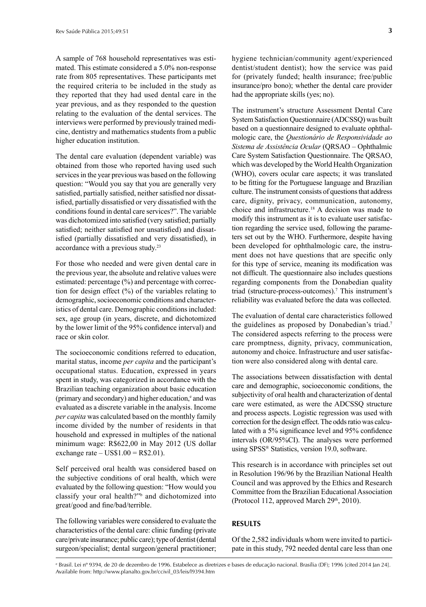A sample of 768 household representatives was estimated. This estimate considered a 5.0% non-response rate from 805 representatives. These participants met the required criteria to be included in the study as they reported that they had used dental care in the year previous, and as they responded to the question relating to the evaluation of the dental services. The interviews were performed by previously trained medicine, dentistry and mathematics students from a public higher education institution.

The dental care evaluation (dependent variable) was obtained from those who reported having used such services in the year previous was based on the following question: "Would you say that you are generally very satisfied, partially satisfied, neither satisfied nor dissatisfied, partially dissatisfied or very dissatisfied with the conditions found in dental care services?". The variable was dichotomized into satisfied (very satisfied; partially satisfied; neither satisfied nor unsatisfied) and dissatisfied (partially dissatisfied and very dissatisfied), in accordance with a previous study.23

For those who needed and were given dental care in the previous year, the absolute and relative values were estimated: percentage (%) and percentage with correction for design effect (%) of the variables relating to demographic, socioeconomic conditions and characteristics of dental care. Demographic conditions included: sex, age group (in years, discrete, and dichotomized by the lower limit of the 95% confidence interval) and race or skin color.

The socioeconomic conditions referred to education, marital status, income *per capita* and the participant's occupational status. Education, expressed in years spent in study, was categorized in accordance with the Brazilian teaching organization about basic education (primary and secondary) and higher education,<sup>e</sup> and was evaluated as a discrete variable in the analysis. Income *per capita* was calculated based on the monthly family income divided by the number of residents in that household and expressed in multiples of the national minimum wage: R\$622,00 in May 2012 (US dollar exchange rate  $-$  US\$1.00 = R\$2.01).

Self perceived oral health was considered based on the subjective conditions of oral health, which were evaluated by the following question: "How would you classify your oral health?"<sup>b</sup> and dichotomized into great/good and fine/bad/terrible.

The following variables were considered to evaluate the characteristics of the dental care: clinic funding (private care/private insurance; public care); type of dentist (dental surgeon/specialist; dental surgeon/general practitioner; hygiene technician/community agent/experienced dentist/student dentist); how the service was paid for (privately funded; health insurance; free/public insurance/pro bono); whether the dental care provider had the appropriate skills (yes; no).

The instrument's structure Assessment Dental Care System Satisfaction Questionnaire (ADCSSQ) was built based on a questionnaire designed to evaluate ophthalmologic care, the *Questionário de Responsividade ao Sistema de Assistência Ocular* (QRSAO – Ophthalmic Care System Satisfaction Questionnaire. The QRSAO, which was developed by the World Health Organization (WHO), covers ocular care aspects; it was translated to be fitting for the Portuguese language and Brazilian culture. The instrument consists of questions that address care, dignity, privacy, communication, autonomy, choice and infrastructure.18 A decision was made to modify this instrument as it is to evaluate user satisfaction regarding the service used, following the parameters set out by the WHO. Furthermore, despite having been developed for ophthalmologic care, the instrument does not have questions that are specific only for this type of service, meaning its modification was not difficult. The questionnaire also includes questions regarding components from the Donabedian quality triad (structure-process-outcomes).7 This instrument's reliability was evaluated before the data was collected.

The evaluation of dental care characteristics followed the guidelines as proposed by Donabedian's triad.7 The considered aspects referring to the process were care promptness, dignity, privacy, communication, autonomy and choice. Infrastructure and user satisfaction were also considered along with dental care.

The associations between dissatisfaction with dental care and demographic, socioeconomic conditions, the subjectivity of oral health and characterization of dental care were estimated, as were the ADCSSQ structure and process aspects. Logistic regression was used with correction for the design effect. The odds ratio was calculated with a 5% significance level and 95% confidence intervals (OR/95%CI). The analyses were performed using SPSS® Statistics, version 19.0, software.

This research is in accordance with principles set out in Resolution 196/96 by the Brazilian National Health Council and was approved by the Ethics and Research Committee from the Brazilian Educational Association (Protocol 112, approved March  $29<sup>th</sup>$ , 2010).

## **RESULTS**

Of the 2,582 individuals whom were invited to participate in this study, 792 needed dental care less than one

e Brasil. Lei nº 9394, de 20 de dezembro de 1996. Estabelece as diretrizes e bases de educação nacional. Brasília (DF); 1996 [cited 2014 Jan 24]. Available from: http://www.planalto.gov.br/ccivil\_03/leis/l9394.htm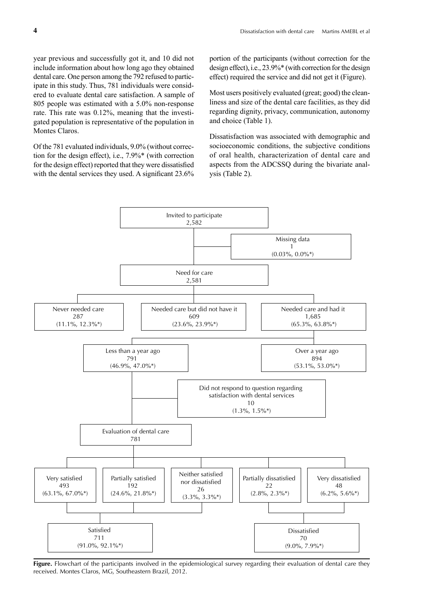year previous and successfully got it, and 10 did not include information about how long ago they obtained dental care. One person among the 792 refused to participate in this study. Thus, 781 individuals were considered to evaluate dental care satisfaction. A sample of 805 people was estimated with a 5.0% non-response rate. This rate was 0.12%, meaning that the investigated population is representative of the population in Montes Claros.

Of the 781 evaluated individuals, 9.0% (without correction for the design effect), i.e., 7.9%\* (with correction for the design effect) reported that they were dissatisfied with the dental services they used. A significant 23.6%

portion of the participants (without correction for the design effect), i.e., 23.9%\* (with correction for the design effect) required the service and did not get it (Figure).

Most users positively evaluated (great; good) the cleanliness and size of the dental care facilities, as they did regarding dignity, privacy, communication, autonomy and choice (Table 1).

Dissatisfaction was associated with demographic and socioeconomic conditions, the subjective conditions of oral health, characterization of dental care and aspects from the ADCSSQ during the bivariate analysis (Table 2).



**Figure.** Flowchart of the participants involved in the epidemiological survey regarding their evaluation of dental care they received. Montes Claros, MG, Southeastern Brazil, 2012.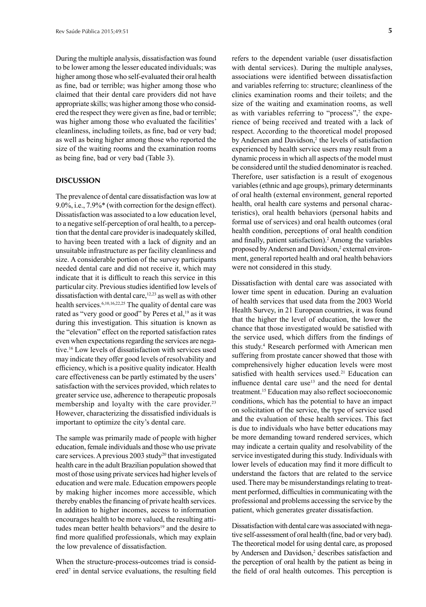During the multiple analysis, dissatisfaction was found to be lower among the lesser educated individuals; was higher among those who self-evaluated their oral health as fine, bad or terrible; was higher among those who claimed that their dental care providers did not have appropriate skills; was higher among those who considered the respect they were given as fine, bad or terrible; was higher among those who evaluated the facilities' cleanliness, including toilets, as fine, bad or very bad; as well as being higher among those who reported the size of the waiting rooms and the examination rooms as being fine, bad or very bad (Table 3).

### **DISCUSSION**

The prevalence of dental care dissatisfaction was low at 9.0%, i.e., 7.9%\* (with correction for the design effect). Dissatisfaction was associated to a low education level, to a negative self-perception of oral health, to a perception that the dental care provider is inadequately skilled, to having been treated with a lack of dignity and an unsuitable infrastructure as per facility cleanliness and size. A considerable portion of the survey participants needed dental care and did not receive it, which may indicate that it is difficult to reach this service in this particular city. Previous studies identified low levels of dissatisfaction with dental care,<sup>12,23</sup> as well as with other health services.<sup>6,10,16,22,25</sup> The quality of dental care was rated as "very good or good" by Peres et al,<sup>19</sup> as it was during this investigation. This situation is known as the "elevation" effect on the reported satisfaction rates even when expectations regarding the services are negative.16 Low levels of dissatisfaction with services used may indicate they offer good levels of resolvability and efficiency, which is a positive quality indicator. Health care effectiveness can be partly estimated by the users' satisfaction with the services provided, which relates to greater service use, adherence to therapeutic proposals membership and loyalty with the care provider.<sup>23</sup> However, characterizing the dissatisfied individuals is important to optimize the city's dental care.

The sample was primarily made of people with higher education, female individuals and those who use private care services. A previous  $2003$  study<sup>20</sup> that investigated health care in the adult Brazilian population showed that most of those using private services had higher levels of education and were male. Education empowers people by making higher incomes more accessible, which thereby enables the financing of private health services. In addition to higher incomes, access to information encourages health to be more valued, the resulting attitudes mean better health behaviors<sup>19</sup> and the desire to find more qualified professionals, which may explain the low prevalence of dissatisfaction.

When the structure-process-outcomes triad is considered<sup>7</sup> in dental service evaluations, the resulting field refers to the dependent variable (user dissatisfaction with dental services). During the multiple analyses, associations were identified between dissatisfaction and variables referring to: structure; cleanliness of the clinics examination rooms and their toilets; and the size of the waiting and examination rooms, as well as with variables referring to "process",7 the experience of being received and treated with a lack of respect. According to the theoretical model proposed by Andersen and Davidson,<sup>2</sup> the levels of satisfaction experienced by health service users may result from a dynamic process in which all aspects of the model must be considered until the studied denominator is reached. Therefore, user satisfaction is a result of exogenous variables (ethnic and age groups), primary determinants of oral health (external environment, general reported health, oral health care systems and personal characteristics), oral health behaviors (personal habits and formal use of services) and oral health outcomes (oral health condition, perceptions of oral health condition and finally, patient satisfaction).<sup>2</sup> Among the variables proposed by Andersen and Davidson,<sup>2</sup> external environment, general reported health and oral health behaviors were not considered in this study.

Dissatisfaction with dental care was associated with lower time spent in education. During an evaluation of health services that used data from the 2003 World Health Survey, in 21 European countries, it was found that the higher the level of education, the lower the chance that those investigated would be satisfied with the service used, which differs from the findings of this study.4 Research performed with American men suffering from prostate cancer showed that those with comprehensively higher education levels were most satisfied with health services used.<sup>21</sup> Education can influence dental care use $13$  and the need for dental treatment.15 Education may also reflect socioeconomic conditions, which has the potential to have an impact on solicitation of the service, the type of service used and the evaluation of these health services. This fact is due to individuals who have better educations may be more demanding toward rendered services, which may indicate a certain quality and resolvability of the service investigated during this study. Individuals with lower levels of education may find it more difficult to understand the factors that are related to the service used. There may be misunderstandings relating to treatment performed, difficulties in communicating with the professional and problems accessing the service by the patient, which generates greater dissatisfaction.

Dissatisfaction with dental care was associated with negative self-assessment of oral health (fine, bad or very bad). The theoretical model for using dental care, as proposed by Andersen and Davidson,<sup>2</sup> describes satisfaction and the perception of oral health by the patient as being in the field of oral health outcomes. This perception is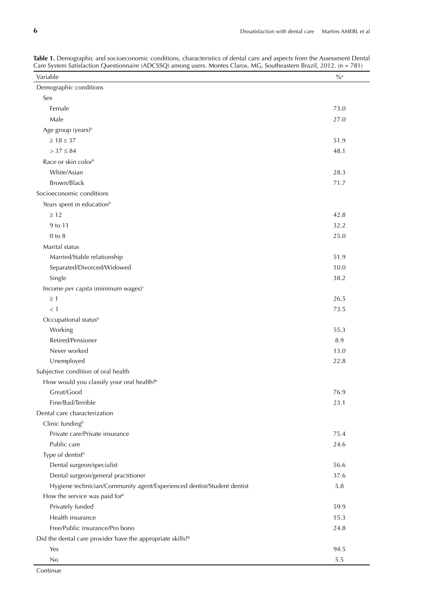| Variable                                                               | $\frac{0}{a}$ |
|------------------------------------------------------------------------|---------------|
| Demographic conditions                                                 |               |
| Sex                                                                    |               |
| Female                                                                 | 73.0          |
| Male                                                                   | 27.0          |
| Age group (years) <sup>b</sup>                                         |               |
| $\geq 18 \leq 37$                                                      | 51.9          |
| $> 37 \le 84$                                                          | 48.1          |
| Race or skin color <sup>b</sup>                                        |               |
| White/Asian                                                            | 28.3          |
| Brown/Black                                                            | 71.7          |
| Socioeconomic conditions                                               |               |
| Years spent in education <sup>b</sup>                                  |               |
| $\geq$ 12                                                              | 42.8          |
| 9 to 11                                                                | 32.2          |
| $0$ to $8$                                                             | 25.0          |
| Marital status                                                         |               |
| Married/Stable relationship                                            | 51.9          |
| Separated/Divorced/Widowed                                             | 10.0          |
| Single                                                                 | 38.2          |
| Income per capita (minimum wages) <sup>c</sup>                         |               |
| $\geq 1$                                                               | 26.5          |
| < 1                                                                    | 73.5          |
| Occupational status <sup>b</sup>                                       |               |
| Working                                                                | 55.3          |
| Retired/Pensioner                                                      | 8.9           |
| Never worked                                                           | 13.0          |
| Unemployed                                                             | 22.8          |
| Subjective condition of oral health                                    |               |
| How would you classify your oral health? <sup>b</sup>                  |               |
| Great/Good                                                             | 76.9          |
| Fine/Bad/Terrible                                                      | 23.1          |
| Dental care characterization                                           |               |
| Clinic funding <sup>b</sup>                                            |               |
| Private care/Private insurance                                         | 75.4          |
| Public care                                                            | 24.6          |
| Type of dentist <sup>b</sup>                                           |               |
| Dental surgeon/specialist                                              | 56.6          |
| Dental surgeon/general practitioner                                    | 37.6          |
| Hygiene technician/Community agent/Experienced dentist/Student dentist | 5.8           |
| How the service was paid for <sup>b</sup>                              |               |
| Privately funded                                                       | 59.9          |
| Health insurance                                                       | 15.3          |
| Free/Public insurance/Pro bono                                         | 24.8          |
| Did the dental care provider have the appropriate skills? <sup>b</sup> |               |
| Yes                                                                    | 94.5          |
| No                                                                     | 5.5           |

**Table 1.** Demographic and socioeconomic conditions, characteristics of dental care and aspects from the Assessment Dental

Continue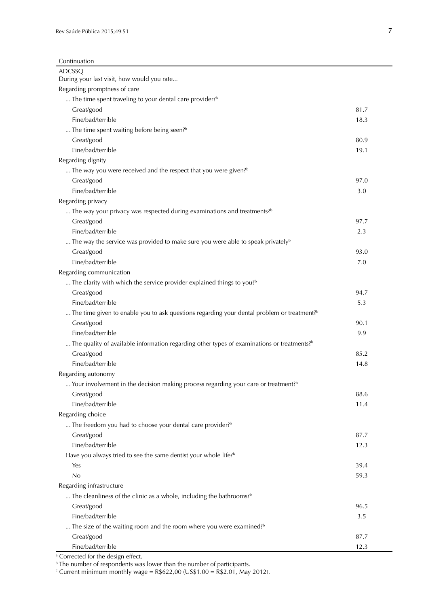| Continuation                                                                                           |      |
|--------------------------------------------------------------------------------------------------------|------|
| ADCSSQ<br>During your last visit, how would you rate                                                   |      |
| Regarding promptness of care                                                                           |      |
| The time spent traveling to your dental care provider? <sup>b</sup>                                    |      |
| Great/good                                                                                             | 81.7 |
| Fine/bad/terrible                                                                                      | 18.3 |
| The time spent waiting before being seen? <sup>b</sup>                                                 |      |
| Great/good                                                                                             | 80.9 |
| Fine/bad/terrible                                                                                      | 19.1 |
| Regarding dignity                                                                                      |      |
| The way you were received and the respect that you were given? <sup>b</sup>                            |      |
| Great/good                                                                                             | 97.0 |
| Fine/bad/terrible                                                                                      | 3.0  |
| Regarding privacy                                                                                      |      |
| The way your privacy was respected during examinations and treatments? <sup>b</sup>                    |      |
| Great/good                                                                                             | 97.7 |
| Fine/bad/terrible                                                                                      | 2.3  |
| The way the service was provided to make sure you were able to speak privately <sup>b</sup>            |      |
| Great/good                                                                                             | 93.0 |
| Fine/bad/terrible                                                                                      | 7.0  |
| Regarding communication                                                                                |      |
| The clarity with which the service provider explained things to you? <sup>b</sup>                      |      |
| Great/good                                                                                             | 94.7 |
| Fine/bad/terrible                                                                                      | 5.3  |
| The time given to enable you to ask questions regarding your dental problem or treatment? <sup>b</sup> |      |
| Great/good                                                                                             | 90.1 |
| Fine/bad/terrible                                                                                      | 9.9  |
| The quality of available information regarding other types of examinations or treatments? <sup>b</sup> |      |
| Great/good                                                                                             | 85.2 |
| Fine/bad/terrible                                                                                      | 14.8 |
| Regarding autonomy                                                                                     |      |
| Your involvement in the decision making process regarding your care or treatment? <sup>b</sup>         |      |
| Great/good                                                                                             | 88.6 |
| Fine/bad/terrible                                                                                      | 11.4 |
| Regarding choice                                                                                       |      |
| The freedom you had to choose your dental care provider? <sup>b</sup>                                  |      |
| Great/good                                                                                             | 87.7 |
| Fine/bad/terrible                                                                                      | 12.3 |
| Have you always tried to see the same dentist your whole life? <sup>b</sup>                            |      |
| Yes                                                                                                    | 39.4 |
| No                                                                                                     | 59.3 |
| Regarding infrastructure                                                                               |      |
| The cleanliness of the clinic as a whole, including the bathrooms? <sup>b</sup>                        |      |
| Great/good                                                                                             | 96.5 |
| Fine/bad/terrible                                                                                      | 3.5  |
| The size of the waiting room and the room where you were examined? <sup>b</sup>                        |      |
| Great/good                                                                                             | 87.7 |
| Fine/bad/terrible                                                                                      | 12.3 |

ª Corrected for the design effect.<br><sup>b</sup> The number of respondents was lower than the number of participants.<br><sup>c</sup> Current minimum monthly wage = R\$622,00 (US\$1.00 = R\$2.01, May 2012).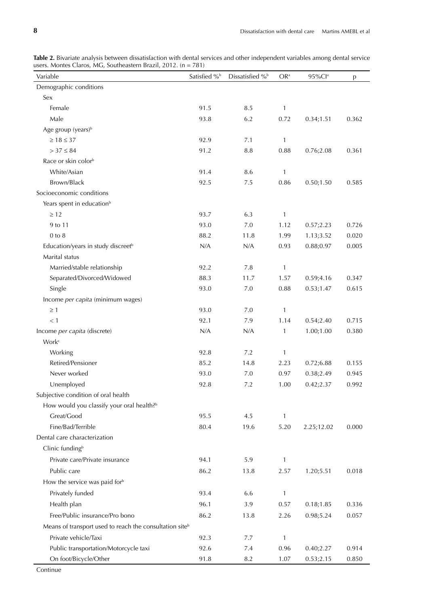**Table 2.** Bivariate analysis between dissatisfaction with dental services and other independent variables among dental service users. Montes Claros, MG, Southeastern Brazil, 2012. (n = 781)

| Variable                                                | Satisfied % <sup>b</sup> | Dissatisfied % <sup>b</sup> | OR <sup>a</sup> | 95%Cla     | p     |
|---------------------------------------------------------|--------------------------|-----------------------------|-----------------|------------|-------|
| Demographic conditions                                  |                          |                             |                 |            |       |
| Sex                                                     |                          |                             |                 |            |       |
| Female                                                  | 91.5                     | 8.5                         | $\mathbf{1}$    |            |       |
| Male                                                    | 93.8                     | 6.2                         | 0.72            | 0.34;1.51  | 0.362 |
| Age group (years) <sup>b</sup>                          |                          |                             |                 |            |       |
| $\geq 18 \leq 37$                                       | 92.9                     | 7.1                         | $\mathbf{1}$    |            |       |
| $> 37 \le 84$                                           | 91.2                     | 8.8                         | 0.88            | 0.76;2.08  | 0.361 |
| Race or skin color <sup>b</sup>                         |                          |                             |                 |            |       |
| White/Asian                                             | 91.4                     | 8.6                         | $\mathbf{1}$    |            |       |
| Brown/Black                                             | 92.5                     | 7.5                         | 0.86            | 0.50;1.50  | 0.585 |
| Socioeconomic conditions                                |                          |                             |                 |            |       |
| Years spent in education <sup>b</sup>                   |                          |                             |                 |            |       |
| $\geq 12$                                               | 93.7                     | 6.3                         | $\mathbf{1}$    |            |       |
| 9 to 11                                                 | 93.0                     | 7.0                         | 1.12            | 0.57;2.23  | 0.726 |
| $0$ to $8$                                              | 88.2                     | 11.8                        | 1.99            | 1.13;3.52  | 0.020 |
| Education/years in study discreet <sup>b</sup>          | N/A                      | N/A                         | 0.93            | 0.88;0.97  | 0.005 |
| Marital status                                          |                          |                             |                 |            |       |
| Married/stable relationship                             | 92.2                     | 7.8                         | $\mathbf{1}$    |            |       |
| Separated/Divorced/Widowed                              | 88.3                     | 11.7                        | 1.57            | 0.59;4.16  | 0.347 |
| Single                                                  | 93.0                     | 7.0                         | 0.88            | 0.53;1.47  | 0.615 |
| Income per capita (minimum wages)                       |                          |                             |                 |            |       |
| $\geq 1$                                                | 93.0                     | 7.0                         | $\mathbf{1}$    |            |       |
| < 1                                                     | 92.1                     | 7.9                         | 1.14            | 0.54;2.40  | 0.715 |
| Income per capita (discrete)                            | N/A                      | N/A                         | $\mathbf{1}$    | 1.00;1.00  | 0.380 |
| Work <sup>c</sup>                                       |                          |                             |                 |            |       |
| Working                                                 | 92.8                     | 7.2                         | $\mathbf{1}$    |            |       |
| Retired/Pensioner                                       | 85.2                     | 14.8                        | 2.23            | 0.72;6.88  | 0.155 |
| Never worked                                            | 93.0                     | 7.0                         | 0.97            | 0.38;2.49  | 0.945 |
| Unemployed                                              | 92.8                     | 7.2                         | 1.00            | 0.42;2.37  | 0.992 |
| Subjective condition of oral health                     |                          |                             |                 |            |       |
| How would you classify your oral health? <sup>b</sup>   |                          |                             |                 |            |       |
| Great/Good                                              | 95.5                     | 4.5                         | $\mathbf{1}$    |            |       |
| Fine/Bad/Terrible                                       | 80.4                     | 19.6                        | 5.20            | 2.25;12.02 | 0.000 |
| Dental care characterization                            |                          |                             |                 |            |       |
| Clinic funding <sup>b</sup>                             |                          |                             |                 |            |       |
| Private care/Private insurance                          | 94.1                     | 5.9                         | $\mathbf{1}$    |            |       |
| Public care                                             | 86.2                     | 13.8                        | 2.57            | 1.20;5.51  | 0.018 |
| How the service was paid for <sup>b</sup>               |                          |                             |                 |            |       |
| Privately funded                                        | 93.4                     | 6.6                         | $\mathbf{1}$    |            |       |
| Health plan                                             | 96.1                     | 3.9                         | 0.57            | 0.18;1.85  | 0.336 |
| Free/Public insurance/Pro bono                          | 86.2                     | 13.8                        | 2.26            | 0.98;5.24  | 0.057 |
| Means of transport used to reach the consultation siteb |                          |                             |                 |            |       |
| Private vehicle/Taxi                                    | 92.3                     | 7.7                         | $\mathbf{1}$    |            |       |
| Public transportation/Motorcycle taxi                   | 92.6                     | 7.4                         | 0.96            | 0.40;2.27  | 0.914 |
| On foot/Bicycle/Other                                   | 91.8                     | 8.2                         | 1.07            | 0.53;2.15  | 0.850 |

**Continue**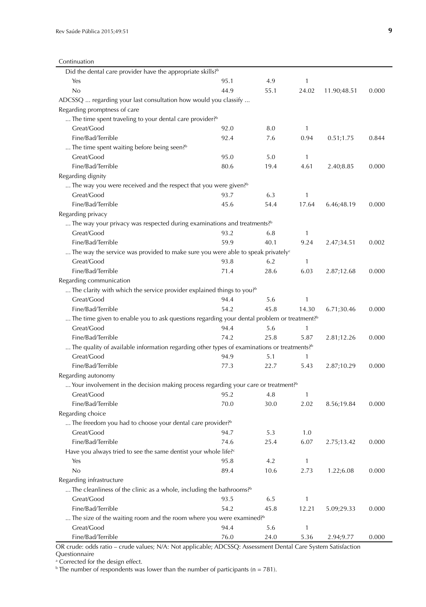Continuation

| Dra are actual care provider have the appropriate skins.                                                        |      |      |       |             |       |
|-----------------------------------------------------------------------------------------------------------------|------|------|-------|-------------|-------|
| Yes                                                                                                             | 95.1 | 4.9  | 1     |             |       |
| No                                                                                                              | 44.9 | 55.1 | 24.02 | 11.90;48.51 | 0.000 |
| ADCSSQ  regarding your last consultation how would you classify                                                 |      |      |       |             |       |
| Regarding promptness of care                                                                                    |      |      |       |             |       |
| The time spent traveling to your dental care provider? <sup>b</sup>                                             |      |      |       |             |       |
| Great/Good                                                                                                      | 92.0 | 8.0  | 1     |             |       |
| Fine/Bad/Terrible                                                                                               | 92.4 | 7.6  | 0.94  | 0.51;1.75   | 0.844 |
| The time spent waiting before being seen? <sup>b</sup>                                                          |      |      |       |             |       |
| Great/Good                                                                                                      | 95.0 | 5.0  | 1     |             |       |
| Fine/Bad/Terrible                                                                                               | 80.6 | 19.4 | 4.61  | 2.40;8.85   | 0.000 |
| Regarding dignity                                                                                               |      |      |       |             |       |
| The way you were received and the respect that you were given? <sup>b</sup>                                     |      |      |       |             |       |
| Great/Good                                                                                                      | 93.7 | 6.3  | 1     |             |       |
| Fine/Bad/Terrible                                                                                               | 45.6 | 54.4 | 17.64 | 6.46;48.19  | 0.000 |
| Regarding privacy                                                                                               |      |      |       |             |       |
| The way your privacy was respected during examinations and treatments? <sup>b</sup>                             |      |      |       |             |       |
| Great/Good                                                                                                      | 93.2 | 6.8  | 1     |             |       |
| Fine/Bad/Terrible                                                                                               | 59.9 | 40.1 | 9.24  | 2.47;34.51  | 0.002 |
| The way the service was provided to make sure you were able to speak privately <sup><math>\epsilon</math></sup> |      |      |       |             |       |
| Great/Good                                                                                                      | 93.8 | 6.2  | 1     |             |       |
| Fine/Bad/Terrible                                                                                               | 71.4 | 28.6 | 6.03  | 2.87;12.68  | 0.000 |
| Regarding communication                                                                                         |      |      |       |             |       |
| The clarity with which the service provider explained things to you? <sup>b</sup>                               |      |      |       |             |       |
| Great/Good                                                                                                      | 94.4 | 5.6  | 1     |             |       |
| Fine/Bad/Terrible                                                                                               | 54.2 | 45.8 | 14.30 | 6.71;30.46  | 0.000 |
| The time given to enable you to ask questions regarding your dental problem or treatment? <sup>b</sup>          |      |      |       |             |       |
| Great/Good                                                                                                      | 94.4 | 5.6  | 1     |             |       |
| Fine/Bad/Terrible                                                                                               | 74.2 | 25.8 | 5.87  | 2.81;12.26  | 0.000 |
| The quality of available information regarding other types of examinations or treatments? <sup>b</sup>          |      |      |       |             |       |
| Great/Good                                                                                                      | 94.9 | 5.1  | 1     |             |       |
| Fine/Bad/Terrible                                                                                               | 77.3 | 22.7 | 5.43  | 2.87;10.29  | 0.000 |
| Regarding autonomy                                                                                              |      |      |       |             |       |
| Your involvement in the decision making process regarding your care or treatment? <sup>b</sup>                  |      |      |       |             |       |
| Great/Good                                                                                                      | 95.2 | 4.8  | 1     |             |       |
| Fine/Bad/Terrible                                                                                               | 70.0 | 30.0 | 2.02  | 8.56;19.84  | 0.000 |
| Regarding choice                                                                                                |      |      |       |             |       |
| The freedom you had to choose your dental care provider? <sup>b</sup>                                           |      |      |       |             |       |
| Great/Good                                                                                                      | 94.7 | 5.3  | 1.0   |             |       |
| Fine/Bad/Terrible                                                                                               | 74.6 | 25.4 | 6.07  | 2.75;13.42  | 0.000 |
| Have you always tried to see the same dentist your whole life? <sup>c</sup>                                     |      |      |       |             |       |
| Yes                                                                                                             | 95.8 | 4.2  | 1     |             |       |
| No                                                                                                              | 89.4 | 10.6 | 2.73  | 1.22;6.08   | 0.000 |
| Regarding infrastructure                                                                                        |      |      |       |             |       |
| The cleanliness of the clinic as a whole, including the bathrooms? <sup>b</sup>                                 |      |      |       |             |       |
| Great/Good                                                                                                      | 93.5 | 6.5  | 1     |             |       |
| Fine/Bad/Terrible                                                                                               | 54.2 | 45.8 | 12.21 | 5.09;29.33  | 0.000 |
| The size of the waiting room and the room where you were examined? <sup>b</sup>                                 |      |      |       |             |       |
| Great/Good                                                                                                      | 94.4 | 5.6  | 1     |             |       |
| Fine/Bad/Terrible                                                                                               | 76.0 | 24.0 | 5.36  | 2.94;9.77   | 0.000 |
|                                                                                                                 |      |      |       |             |       |

OR crude: odds ratio – crude values; N/A: Not applicable; ADCSSQ: Assessment Dental Care System Satisfaction

Questionnaire<br>ª Corrected for the design effect.<br><sup>b</sup> The number of respondents was lower than the number of participants (n = 781).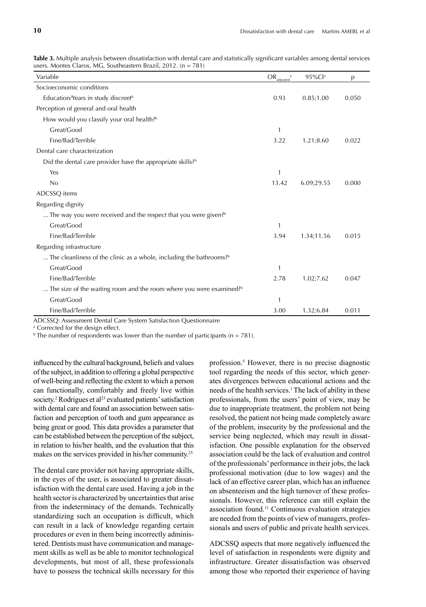| Variable                                                                        | $OR_{adjusted}^a$ | 95%Cl <sup>a</sup> | p     |
|---------------------------------------------------------------------------------|-------------------|--------------------|-------|
| Socioeconomic conditions                                                        |                   |                    |       |
| Education/Years in study discreet <sup>b</sup>                                  | 0.93              | 0.85;1.00          | 0.050 |
| Perception of general and oral health                                           |                   |                    |       |
| How would you classify your oral health? <sup>b</sup>                           |                   |                    |       |
| Great/Good                                                                      | 1                 |                    |       |
| Fine/Bad/Terrible                                                               | 3.22              | 1.21;8.60          | 0.022 |
| Dental care characterization                                                    |                   |                    |       |
| Did the dental care provider have the appropriate skills? <sup>b</sup>          |                   |                    |       |
| Yes                                                                             | 1                 |                    |       |
| No                                                                              | 13.42             | 6.09;29.55         | 0.000 |
| ADCSSQ items                                                                    |                   |                    |       |
| Regarding dignity                                                               |                   |                    |       |
| The way you were received and the respect that you were given? <sup>b</sup>     |                   |                    |       |
| Great/Good                                                                      | 1                 |                    |       |
| Fine/Bad/Terrible                                                               | 3.94              | 1.34;11.56         | 0.015 |
| Regarding infrastructure                                                        |                   |                    |       |
| The cleanliness of the clinic as a whole, including the bathrooms? <sup>b</sup> |                   |                    |       |
| Great/Good                                                                      | 1                 |                    |       |
| Fine/Bad/Terrible                                                               | 2.78              | 1.02;7.62          | 0.047 |
| The size of the waiting room and the room where you were examined? <sup>b</sup> |                   |                    |       |
| Great/Good                                                                      | 1                 |                    |       |
| Fine/Bad/Terrible                                                               | 3.00              | 1.32;6.84          | 0.011 |

**Table 3.** Multiple analysis between dissatisfaction with dental care and statistically significant variables among dental services users. Montes Claros, MG, Southeastern Brazil, 2012. (n = 781)

ADCSSQ: Assessment Dental Care System Satisfaction Questionnaire

a Corrected for the design effect.

 $^{\rm b}$  The number of respondents was lower than the number of participants (n = 781).

influenced by the cultural background, beliefs and values of the subject, in addition to offering a global perspective of well-being and reflecting the extent to which a person can functionally, comfortably and freely live within society.<sup>2</sup> Rodrigues et al<sup>23</sup> evaluated patients' satisfaction with dental care and found an association between satisfaction and perception of tooth and gum appearance as being great or good. This data provides a parameter that can be established between the perception of the subject, in relation to his/her health, and the evaluation that this makes on the services provided in his/her community.23

The dental care provider not having appropriate skills, in the eyes of the user, is associated to greater dissatisfaction with the dental care used. Having a job in the health sector is characterized by uncertainties that arise from the indeterminacy of the demands. Technically standardizing such an occupation is difficult, which can result in a lack of knowledge regarding certain procedures or even in them being incorrectly administered. Dentists must have communication and management skills as well as be able to monitor technological developments, but most of all, these professionals have to possess the technical skills necessary for this

profession.5 However, there is no precise diagnostic tool regarding the needs of this sector, which generates divergences between educational actions and the needs of the health services.<sup>1</sup> The lack of ability in these professionals, from the users' point of view, may be due to inappropriate treatment, the problem not being resolved, the patient not being made completely aware of the problem, insecurity by the professional and the service being neglected, which may result in dissatisfaction. One possible explanation for the observed association could be the lack of evaluation and control of the professionals' performance in their jobs, the lack professional motivation (due to low wages) and the lack of an effective career plan, which has an influence on absenteeism and the high turnover of these professionals. However, this reference can still explain the association found.11 Continuous evaluation strategies are needed from the points of view of managers, professionals and users of public and private health services.

ADCSSQ aspects that more negatively influenced the level of satisfaction in respondents were dignity and infrastructure. Greater dissatisfaction was observed among those who reported their experience of having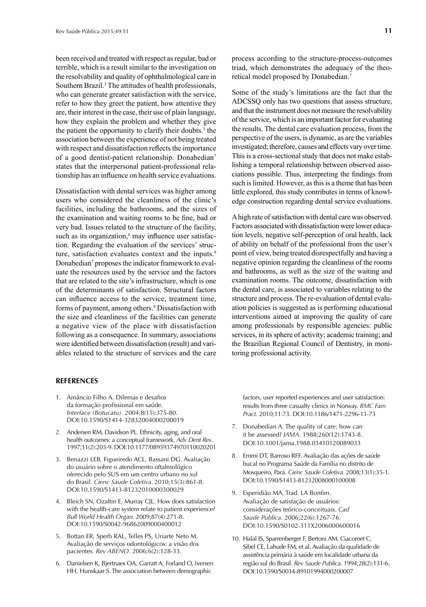been received and treated with respect as regular, bad or terrible, which is a result similar to the investigation on the resolvability and quality of ophthalmological care in Southern Brazil.<sup>3</sup> The attitudes of health professionals, who can generate greater satisfaction with the service, refer to how they greet the patient, how attentive they are, their interest in the case, their use of plain language, how they explain the problem and whether they give the patient the opportunity to clarify their doubts.<sup>3</sup> the association between the experience of not being treated with respect and dissatisfaction reflects the importance of a good dentist-patient relationship. Donabedian7 states that the interpersonal patient-professional relationship has an influence on health service evaluations.

Dissatisfaction with dental services was higher among users who considered the cleanliness of the clinic's facilities, including the bathrooms, and the sizes of the examination and waiting rooms to be fine, bad or very bad. Issues related to the structure of the facility, such as its organization,<sup>6</sup> may influence user satisfaction. Regarding the evaluation of the services' structure, satisfaction evaluates context and the inputs.<sup>9</sup> Donabedian<sup>7</sup> proposes the indicator framework to evaluate the resources used by the service and the factors that are related to the site's infrastructure, which is one of the determinants of satisfaction. Structural factors can influence access to the service, treatment time, forms of payment, among others.9 Dissatisfaction with the size and cleanliness of the facilities can generate a negative view of the place with dissatisfaction following as a consequence. In summary, associations were identified between dissatisfaction (result) and variables related to the structure of services and the care

**REFERENCES**

- 1. Amâncio Filho A. Dilemas e desafios da formação profissional em saúde. *Interface (Botucatu)*. 2004;8(15):375-80. DOI:10.1590/S1414-32832004000200019
- 2. Andersen RM, Davidson PL. Ethnicity, aging, and oral health outcomes: a conceptual framework. *Adv Dent Res*. 1997;11(2):203-9. DOI:10.1177/08959374970110020201
- 3. Benazzi LEB, Figueiredo ACL, Bassani DG. Avaliação do usuário sobre o atendimento oftalmológico oferecido pelo SUS em um centro urbano no sul do Brasil. *Cienc Saude Coletiva.* 2010;15(3):861-8. DOI:10.1590/S1413-81232010000300029
- 4. Bleich SN, Ozaltin E, Murray CJL. How does satisfaction with the health-care system relate to patient experience? *Bull World Health Organ.* 2009;87(4):271-8. DOI:10.1590/S0042-96862009000400012
- 5. Bottan ER, Sperb RAL, Telles PS, Uriarte Neto M. Avaliação de serviços odontológicos: a visão dos pacientes. *Rev ABENO*. 2006;6(2):128-33.
- 6. Danielsen K, Bjertnaes OA, Garratt A, Forland O, Iversen HH, Hunskaar S. The association between demographic

process according to the structure-process-outcomes triad, which demonstrates the adequacy of the theoretical model proposed by Donabedian.7

Some of the study's limitations are the fact that the ADCSSQ only has two questions that assess structure, and that the instrument does not measure the resolvability of the service, which is an important factor for evaluating the results. The dental care evaluation process, from the perspective of the users, is dynamic, as are the variables investigated; therefore, causes and effects vary over time. This is a cross-sectional study that does not make establishing a temporal relationship between observed associations possible. Thus, interpreting the findings from such is limited. However, as this is a theme that has been little explored, this study contributes in terms of knowledge construction regarding dental service evaluations.

A high rate of satisfaction with dental care was observed. Factors associated with dissatisfaction were lower education levels, negative self-perception of oral health, lack of ability on behalf of the professional from the user's point of view, being treated disrespectfully and having a negative opinion regarding the cleanliness of the rooms and bathrooms, as well as the size of the waiting and examination rooms. The outcome, dissatisfaction with the dental care, is associated to variables relating to the structure and process. The re-evaluation of dental evaluation policies is suggested as is performing educational interventions aimed at improving the quality of care among professionals by responsible agencies: public services, in its sphere of activity; academic training; and the Brazilian Regional Council of Dentistry, in monitoring professional activity.

factors, user reported experiences and user satisfaction: results from three casualty clinics in Norway. *BMC Fam Pract*. 2010;11:73. DOI:10.1186/1471-2296-11-73

- 7. Donabedian A. The quality of care: how can it be assessed? *JAMA*. 1988;260(12):1743-8. DOI:10.1001/jama.1988.03410120089033
- 8. Emmi DT, Barroso RFF. Avaliação das ações de saúde bucal no Programa Saúde da Família no distrito de Mosqueiro, Pará. *Cienc Saude Coletiva.* 2008;13(1):35-1. DOI:10.1590/S1413-81232008000100008
- 9. Esperidião MA, Trad. LA Bonfim. Avaliação de satisfação de usuários: considerações teórico-conceituais. *Cad Saude Publica*. 2006;22(6):1267-76. DOI:10.1590/S0102-311X2006000600016
- 10. Halal IS, Sparrenberger F, Bertoni AM, Ciacomet C, Sibel CE, Lahude FM, et al. Avaliação da qualidade de assistência primária à saúde em localidade urbana da região sul do Brasil. *Rev Saude Publica*. 1994;28(2):131-6. DOI:10.1590/S0034-89101994000200007